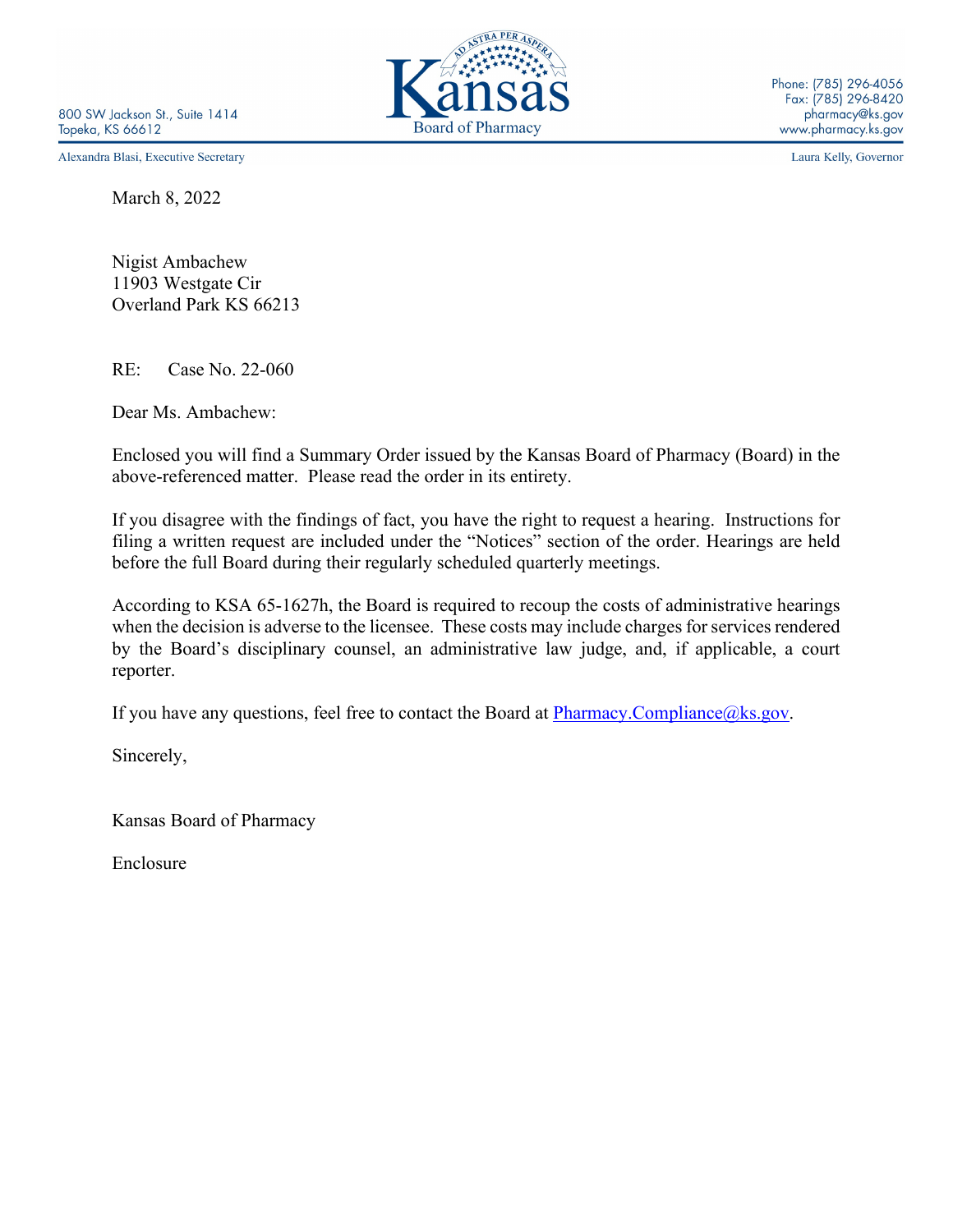800 SW Jackson St., Suite 1414 Topeka, KS 66612

Alexandra Blasi, Executive Secretary

March 8, 2022

Nigist Ambachew 11903 Westgate Cir Overland Park KS 66213

RE: Case No. 22-060

Dear Ms. Ambachew:

Enclosed you will find a Summary Order issued by the Kansas Board of Pharmacy (Board) in the above-referenced matter. Please read the order in its entirety.

If you disagree with the findings of fact, you have the right to request a hearing. Instructions for filing a written request are included under the "Notices" section of the order. Hearings are held before the full Board during their regularly scheduled quarterly meetings.

According to KSA 65-1627h, the Board is required to recoup the costs of administrative hearings when the decision is adverse to the licensee. These costs may include charges for services rendered by the Board's disciplinary counsel, an administrative law judge, and, if applicable, a court reporter.

If you have any questions, feel free to contact the Board at  $\frac{Pharmacy. Compliance@ks.gov.}{}$ 

Sincerely,

Kansas Board of Pharmacy

Enclosure



Laura Kelly, Governor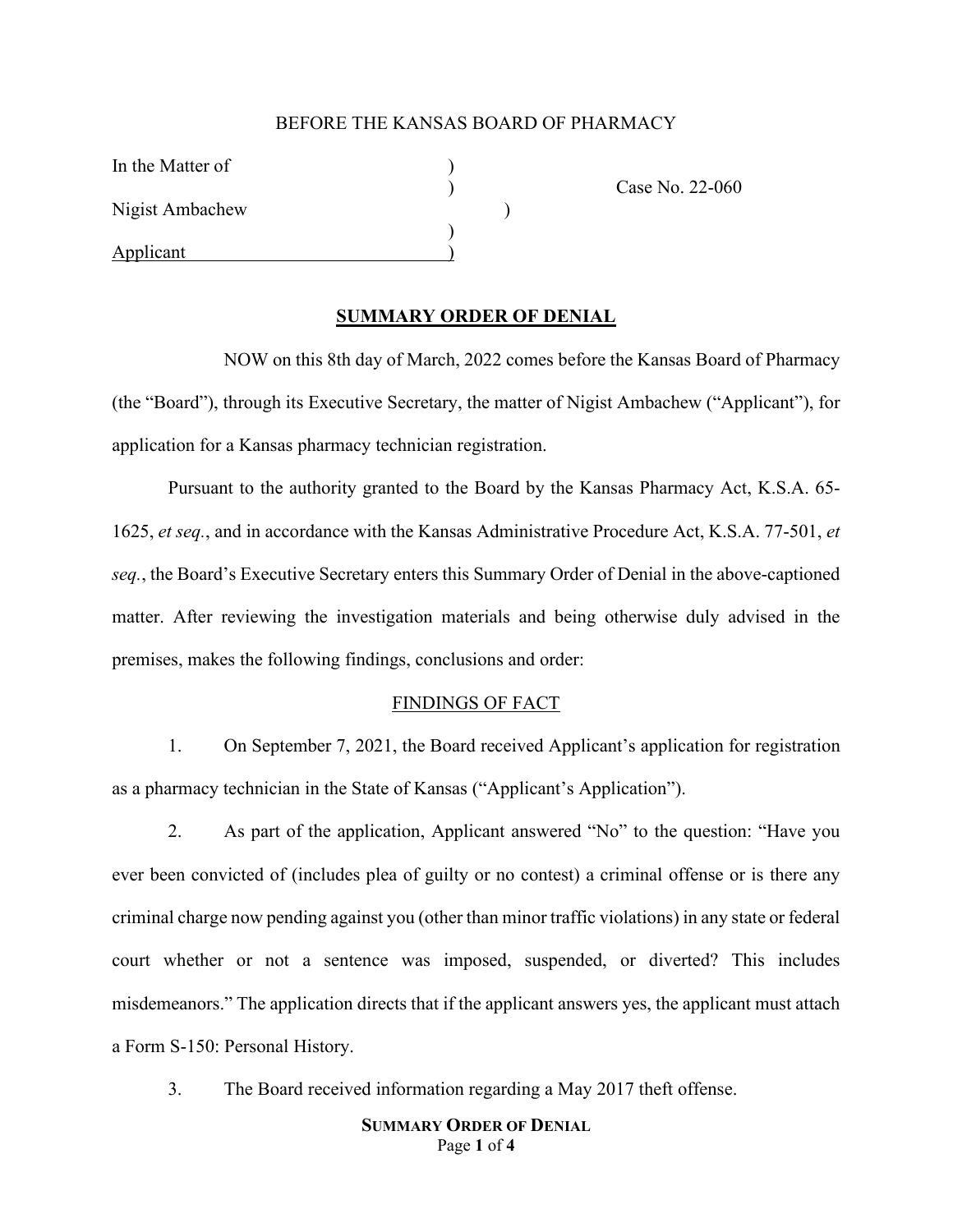## BEFORE THE KANSAS BOARD OF PHARMACY

In the Matter of Nigist Ambachew ) Applicant )

) Case No. 22-060

#### **SUMMARY ORDER OF DENIAL**

)

NOW on this 8th day of March, 2022 comes before the Kansas Board of Pharmacy (the "Board"), through its Executive Secretary, the matter of Nigist Ambachew ("Applicant"), for application for a Kansas pharmacy technician registration.

Pursuant to the authority granted to the Board by the Kansas Pharmacy Act, K.S.A. 65- 1625, *et seq.*, and in accordance with the Kansas Administrative Procedure Act, K.S.A. 77-501, *et seq.*, the Board's Executive Secretary enters this Summary Order of Denial in the above-captioned matter. After reviewing the investigation materials and being otherwise duly advised in the premises, makes the following findings, conclusions and order:

#### FINDINGS OF FACT

1. On September 7, 2021, the Board received Applicant's application for registration as a pharmacy technician in the State of Kansas ("Applicant's Application").

2. As part of the application, Applicant answered "No" to the question: "Have you ever been convicted of (includes plea of guilty or no contest) a criminal offense or is there any criminal charge now pending against you (other than minor traffic violations) in any state or federal court whether or not a sentence was imposed, suspended, or diverted? This includes misdemeanors." The application directs that if the applicant answers yes, the applicant must attach a Form S-150: Personal History.

3. The Board received information regarding a May 2017 theft offense.

# **SUMMARY ORDER OF DENIAL** Page **1** of **4**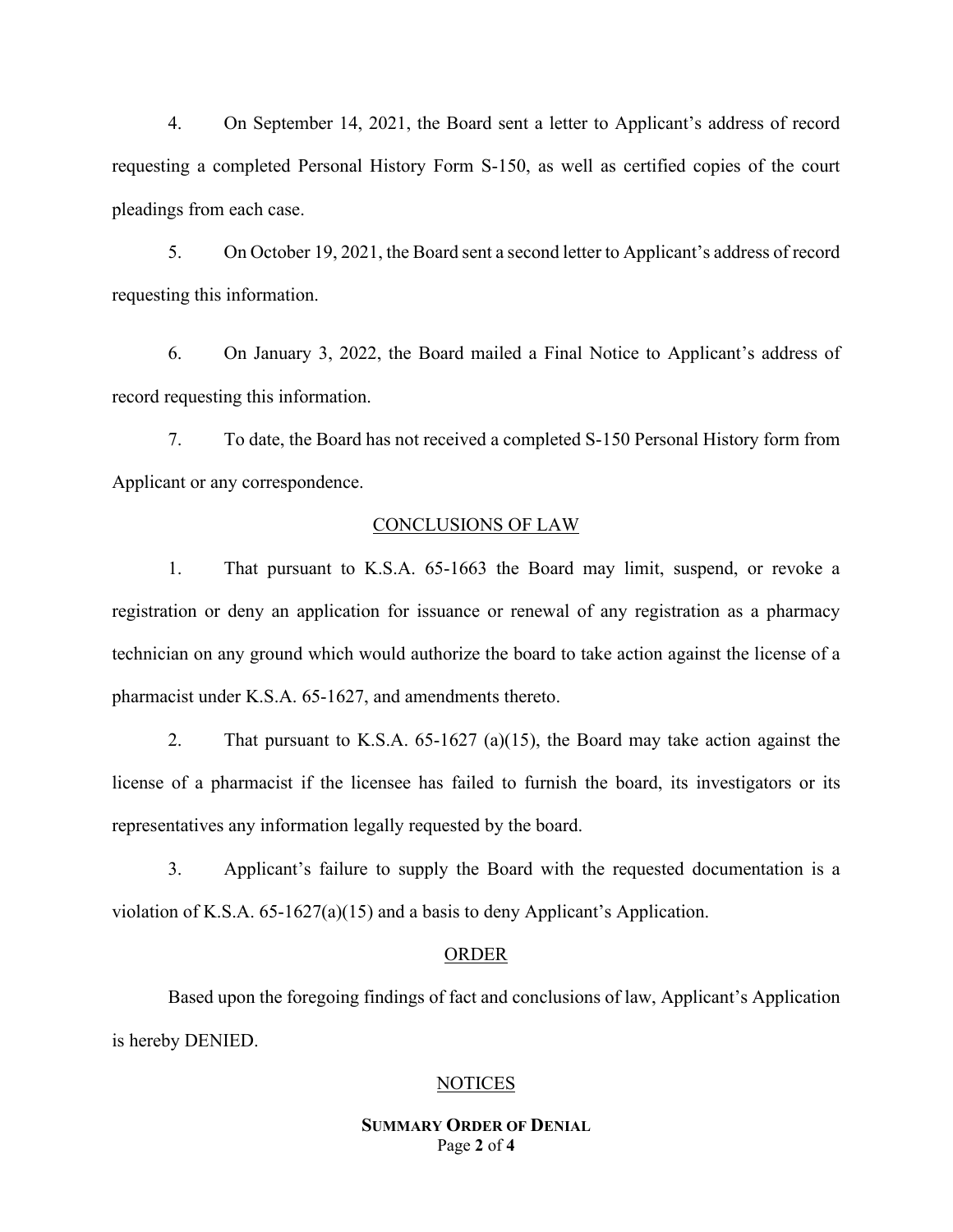4. On September 14, 2021, the Board sent a letter to Applicant's address of record requesting a completed Personal History Form S-150, as well as certified copies of the court pleadings from each case.

5. On October 19, 2021, the Board sent a second letter to Applicant's address of record requesting this information.

6. On January 3, 2022, the Board mailed a Final Notice to Applicant's address of record requesting this information.

7. To date, the Board has not received a completed S-150 Personal History form from Applicant or any correspondence.

# CONCLUSIONS OF LAW

1. That pursuant to K.S.A. 65-1663 the Board may limit, suspend, or revoke a registration or deny an application for issuance or renewal of any registration as a pharmacy technician on any ground which would authorize the board to take action against the license of a pharmacist under K.S.A. 65-1627, and amendments thereto.

2. That pursuant to K.S.A. 65-1627 (a)(15), the Board may take action against the license of a pharmacist if the licensee has failed to furnish the board, its investigators or its representatives any information legally requested by the board.

3. Applicant's failure to supply the Board with the requested documentation is a violation of K.S.A. 65-1627(a)(15) and a basis to deny Applicant's Application.

#### ORDER

Based upon the foregoing findings of fact and conclusions of law, Applicant's Application is hereby DENIED.

#### NOTICES

# **SUMMARY ORDER OF DENIAL** Page **2** of **4**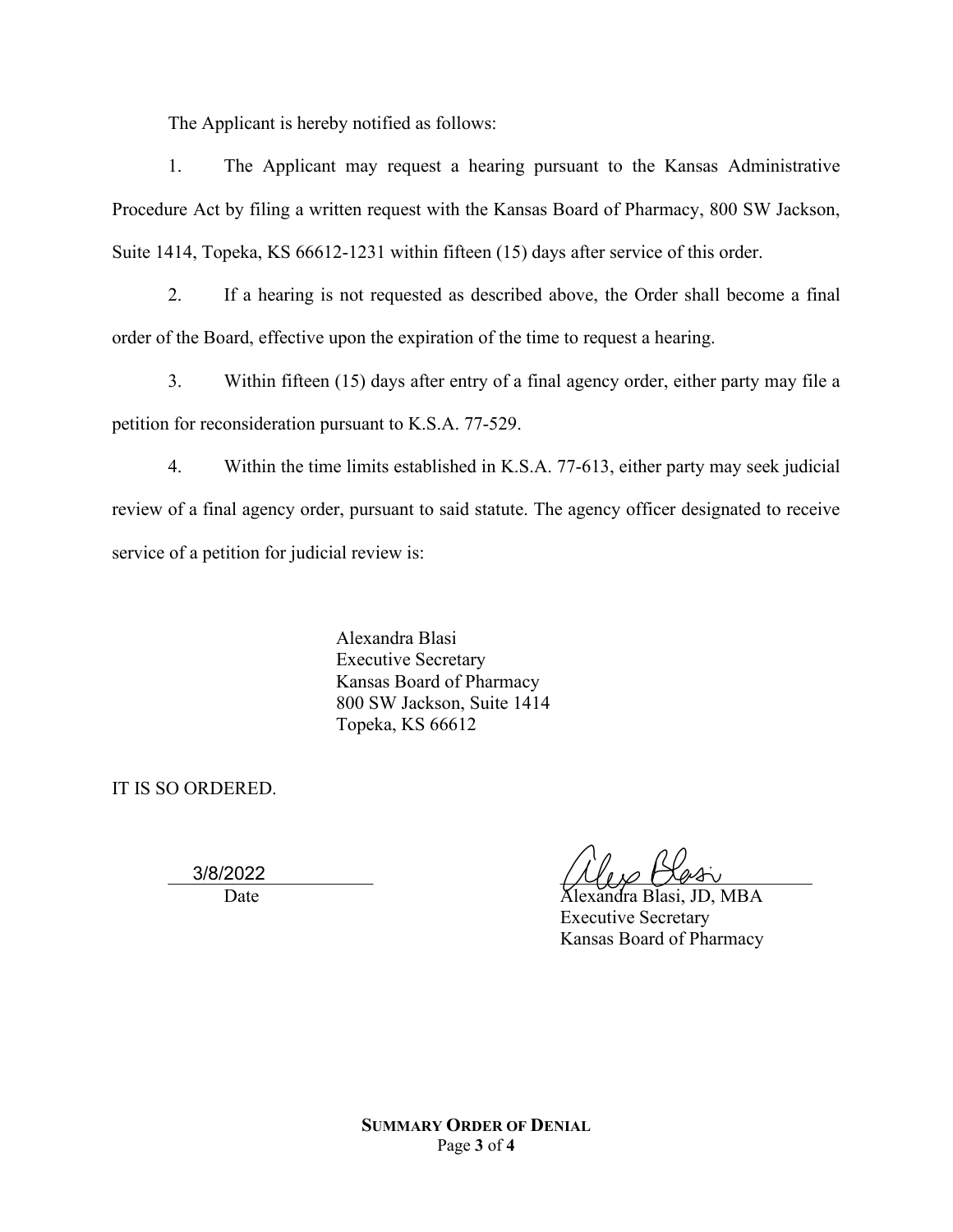The Applicant is hereby notified as follows:

1. The Applicant may request a hearing pursuant to the Kansas Administrative Procedure Act by filing a written request with the Kansas Board of Pharmacy, 800 SW Jackson, Suite 1414, Topeka, KS 66612-1231 within fifteen (15) days after service of this order.

2. If a hearing is not requested as described above, the Order shall become a final order of the Board, effective upon the expiration of the time to request a hearing.

3. Within fifteen (15) days after entry of a final agency order, either party may file a petition for reconsideration pursuant to K.S.A. 77-529.

4. Within the time limits established in K.S.A. 77-613, either party may seek judicial review of a final agency order, pursuant to said statute. The agency officer designated to receive service of a petition for judicial review is:

> Alexandra Blasi Executive Secretary Kansas Board of Pharmacy 800 SW Jackson, Suite 1414 Topeka, KS 66612

IT IS SO ORDERED.

3/8/2022

 $3/8/2022$   $\sqrt{1/\rho}$   $\sqrt{243}$ 

Date Alexandra Blasi, JD, MBA Executive Secretary Kansas Board of Pharmacy